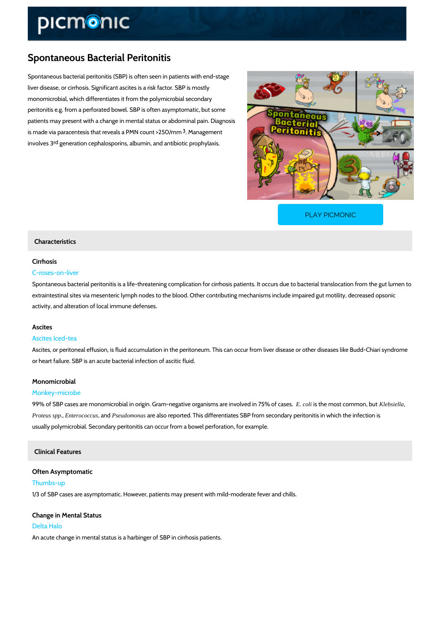# Spontaneous Bacterial Peritonitis

Spontaneous bacterial peritonitis (SBP) is often seen in patients with end-stage liver disease, or cirrhosis. Significant ascites is a risk factor. SBP is mostly monomicrobial, which differentiates it from the polymicrobial secondary peritonitis e.g. from a perforated bowel. SBP is often asymptomatic, but some patients may present with a change in mental status or abdominal pain. Diagnosis is made via paracentesis that reveals and  $M$  become unt  $>$  250/mm involves aneration cephalosporins, albumin, and antibiotic prophylaxis.

[PLAY PICMONIC](https://www.picmonic.com/learn/spontaneous-bacterial-peritonitis_50345?utm_source=downloadable_content&utm_medium=distributedcontent&utm_campaign=pathways_pdf&utm_content=Spontaneous Bacterial Peritonitis&utm_ad_group=leads&utm_market=all)

## Characteristics

## Cirrhosis

#### C-roses-on-liver

Spontaneous bacterial peritonitis is a life-threatening complication for cirrhosis patients. It o extraintestinal sites via mesenteric lymph nodes to the blood. Other contributing mechanisms activity, and alteration of local immune defenses.

#### Ascites

#### Ascites Iced-tea

Ascites, or peritoneal effusion, is fluid accumulation in the peritoneum. This can occur from I or heart failure. SBP is an acute bacterial infection of ascitic fluid.

#### Monomicrobial

#### Monkey-microbe

99% of SBP cases are monomicrobial in origin. Gram-negativ**E** cooligiasn**iben sman aset crowhold hoseedla**, bbnu 175% Proteus sppEnterococcus, a Psebudomonas are also reported. This differentiates SBP from secondary peritonit usually polymicrobial. Secondary peritonitis can occur from a bowel perforation, for example.

# Clinical Features

Often Asymptomatic Thumbs-up 1/3 of SBP cases are asymptomatic. However, patients may present with mild-moderate fever and chills.

# Change in Mental Status Delta Halo

An acute change in mental status is a harbinger of SBP in cirrhosis patients.